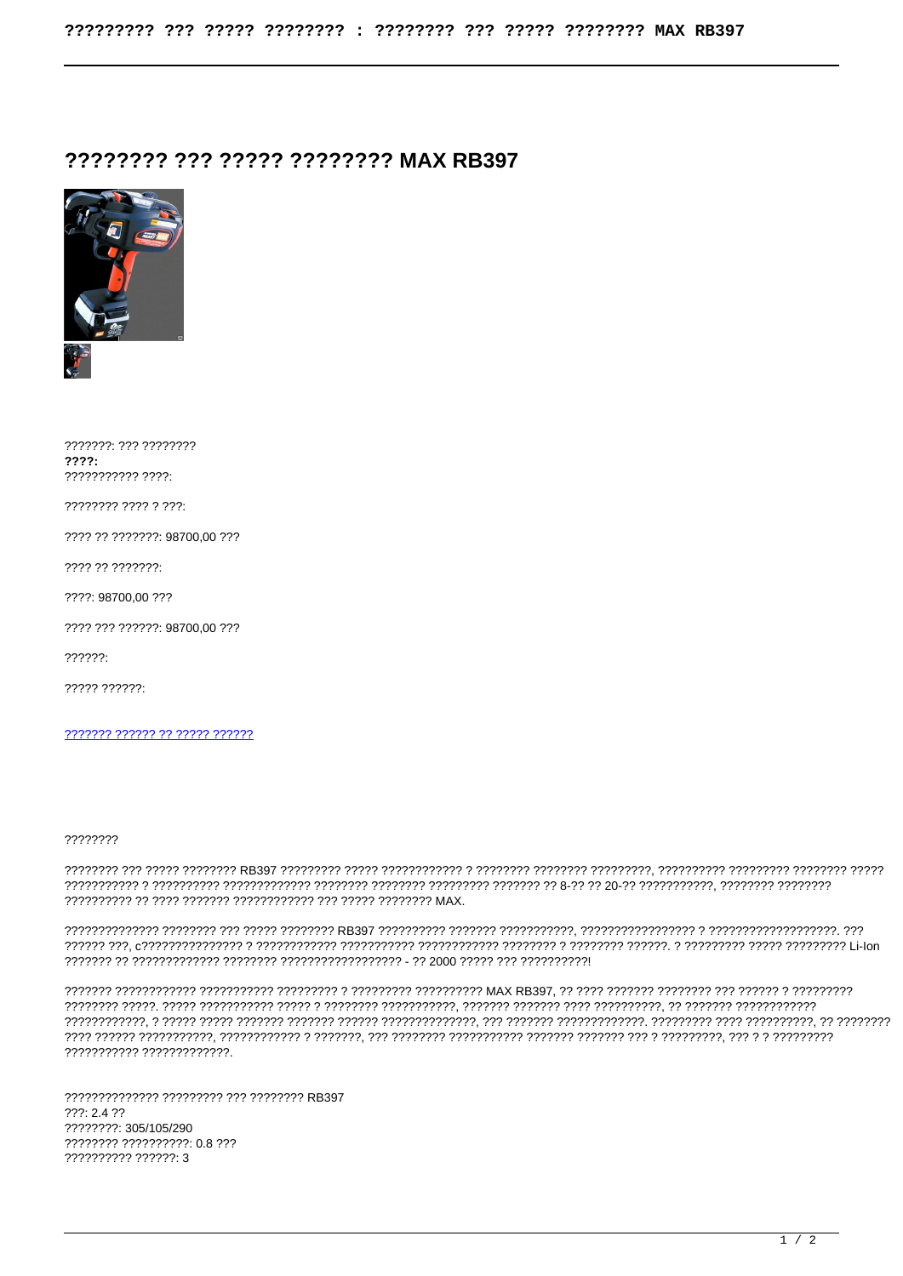## 22222222 222 22222 22222222 MAX RB397



???????: ??? ????????  $2222 -$ ??????????? ????: ???????? ???? ? ???: ???? ?? ???????: 98700.00 ??? ???? ?? ???????: 2222: 98700.00.222 2222 222 222222: 98700.00 222  $22222.$ ????? ??????: ??????? ?????? ?? ????? ??????

## 77777777

??????????? ?????????????.

?????????????? ????????? ??? ???????? RB397  $222:2422$ ????????: 305/105/290 ???????? ?????????? 0.8 ??? 777777777 777777: 3